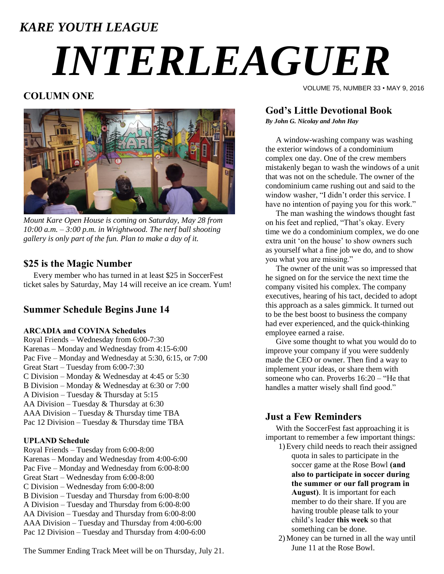### *KARE YOUTH LEAGUE*

# *INTERLEAGUER*

#### **COLUMN ONE**



*Mount Kare Open House is coming on Saturday, May 28 from 10:00 a.m. – 3:00 p.m. in Wrightwood. The nerf ball shooting gallery is only part of the fun. Plan to make a day of it.*

#### **\$25 is the Magic Number**

 Every member who has turned in at least \$25 in SoccerFest ticket sales by Saturday, May 14 will receive an ice cream. Yum!

#### **Summer Schedule Begins June 14**

#### **ARCADIA and COVINA Schedules**

Royal Friends – Wednesday from 6:00-7:30 Karenas – Monday and Wednesday from 4:15-6:00 Pac Five – Monday and Wednesday at 5:30, 6:15, or 7:00 Great Start – Tuesday from 6:00-7:30 C Division – Monday & Wednesday at 4:45 or 5:30 B Division – Monday & Wednesday at 6:30 or 7:00 A Division – Tuesday & Thursday at 5:15 AA Division – Tuesday & Thursday at 6:30 AAA Division – Tuesday & Thursday time TBA Pac 12 Division – Tuesday & Thursday time TBA

#### **UPLAND Schedule**

Royal Friends – Tuesday from 6:00-8:00 Karenas – Monday and Wednesday from 4:00-6:00 Pac Five – Monday and Wednesday from 6:00-8:00 Great Start – Wednesday from 6:00-8:00 C Division – Wednesday from 6:00-8:00 B Division – Tuesday and Thursday from 6:00-8:00 A Division – Tuesday and Thursday from 6:00-8:00 AA Division – Tuesday and Thursday from 6:00-8:00 AAA Division – Tuesday and Thursday from 4:00-6:00 Pac 12 Division – Tuesday and Thursday from 4:00-6:00

The Summer Ending Track Meet will be on Thursday, July 21.

#### **God's Little Devotional Book**

*By John G. Nicolay and John Hay*

A window-washing company was washing the exterior windows of a condominium complex one day. One of the crew members mistakenly began to wash the windows of a unit that was not on the schedule. The owner of the condominium came rushing out and said to the window washer, "I didn"t order this service. I have no intention of paying you for this work."

VOLUME 75, NUMBER 33 • MAY 9, 2016

The man washing the windows thought fast on his feet and replied, "That"s okay. Every time we do a condominium complex, we do one extra unit 'on the house' to show owners such as yourself what a fine job we do, and to show you what you are missing."

The owner of the unit was so impressed that he signed on for the service the next time the company visited his complex. The company executives, hearing of his tact, decided to adopt this approach as a sales gimmick. It turned out to be the best boost to business the company had ever experienced, and the quick-thinking employee earned a raise.

Give some thought to what you would do to improve your company if you were suddenly made the CEO or owner. Then find a way to implement your ideas, or share them with someone who can. Proverbs 16:20 – "He that handles a matter wisely shall find good."

#### **Just a Few Reminders**

With the SoccerFest fast approaching it is important to remember a few important things:

1)Every child needs to reach their assigned quota in sales to participate in the soccer game at the Rose Bowl **(and also to participate in soccer during the summer or our fall program in August)**. It is important for each member to do their share. If you are having trouble please talk to your child"s leader **this week** so that something can be done.

2)Money can be turned in all the way until June 11 at the Rose Bowl.